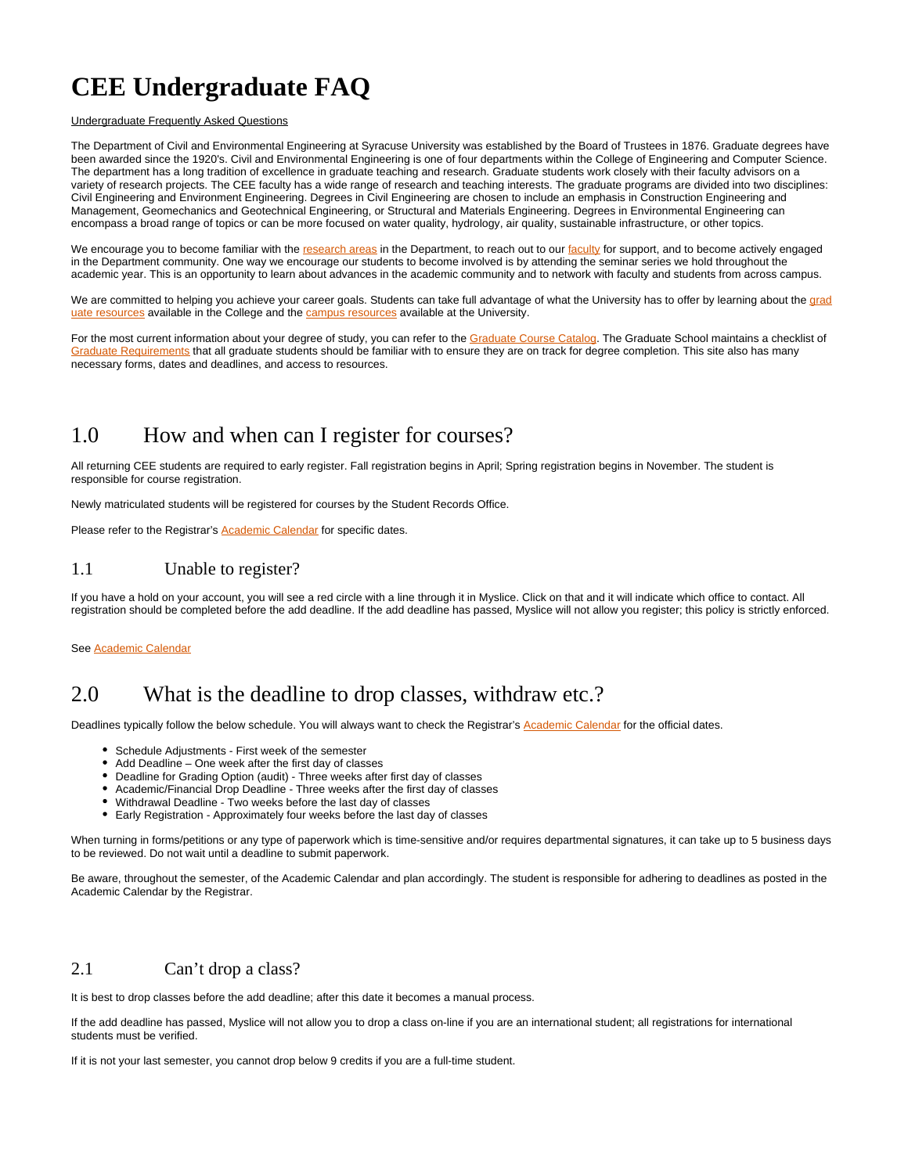# **CEE Undergraduate FAQ**

#### Undergraduate Frequently Asked Questions

The Department of Civil and Environmental Engineering at Syracuse University was established by the Board of Trustees in 1876. Graduate degrees have been awarded since the 1920's. Civil and Environmental Engineering is one of four departments within the College of Engineering and Computer Science. The department has a long tradition of excellence in graduate teaching and research. Graduate students work closely with their faculty advisors on a variety of research projects. The CEE faculty has a wide range of research and teaching interests. The graduate programs are divided into two disciplines: Civil Engineering and Environment Engineering. Degrees in Civil Engineering are chosen to include an emphasis in Construction Engineering and Management, Geomechanics and Geotechnical Engineering, or Structural and Materials Engineering. Degrees in Environmental Engineering can encompass a broad range of topics or can be more focused on water quality, hydrology, air quality, sustainable infrastructure, or other topics.

We encourage you to become familiar with the [research areas](https://ecs.syracuse.edu/academics/civil-and-environmental-engineering/research) in the Department, to reach out to our [faculty](https://ecs.syracuse.edu/faculty-staff/?category=civil-and-environmental-engineering&people=&redirect) for support, and to become actively engaged in the Department community. One way we encourage our students to become involved is by attending the seminar series we hold throughout the academic year. This is an opportunity to learn about advances in the academic community and to network with faculty and students from across campus.

We are committed to helping you achieve your career goals. Students can take full advantage of what the University has to offer by learning about the [grad](https://ecs.syracuse.edu/student-services/graduate-resources) [uate resources](https://ecs.syracuse.edu/student-services/graduate-resources) available in the College and the [campus resources](https://ecs.syracuse.edu/student-services/campus-resources) available at the University.

For the most current information about your degree of study, you can refer to the [Graduate Course Catalog](http://coursecatalog.syr.edu/index.php). The Graduate School maintains a checklist of [Graduate Requirements](http://graduateschool.syr.edu/policies-and-requirements/graduation-requirements/) that all graduate students should be familiar with to ensure they are on track for degree completion. This site also has many necessary forms, dates and deadlines, and access to resources.

## 1.0 How and when can I register for courses?

All returning CEE students are required to early register. Fall registration begins in April; Spring registration begins in November. The student is responsible for course registration.

Newly matriculated students will be registered for courses by the Student Records Office.

Please refer to the Registrar's **Academic Calendar** for specific dates.

#### 1.1 Unable to register?

If you have a hold on your account, you will see a red circle with a line through it in Myslice. Click on that and it will indicate which office to contact. All registration should be completed before the add deadline. If the add deadline has passed, Myslice will not allow you register; this policy is strictly enforced.

See [Academic Calendar](https://www.syracuse.edu/academics/calendars/)

#### 2.0 What is the deadline to drop classes, withdraw etc.?

Deadlines typically follow the below schedule. You will always want to check the Registrar's [Academic Calendar](https://www.syracuse.edu/academics/calendars/) for the official dates.

- Schedule Adjustments First week of the semester
- Add Deadline One week after the first day of classes
- Deadline for Grading Option (audit) Three weeks after first day of classes
- Academic/Financial Drop Deadline Three weeks after the first day of classes
- Withdrawal Deadline Two weeks before the last day of classes
- Early Registration Approximately four weeks before the last day of classes

When turning in forms/petitions or any type of paperwork which is time-sensitive and/or requires departmental signatures, it can take up to 5 business days to be reviewed. Do not wait until a deadline to submit paperwork.

Be aware, throughout the semester, of the Academic Calendar and plan accordingly. The student is responsible for adhering to deadlines as posted in the Academic Calendar by the Registrar.

#### 2.1 Can't drop a class?

It is best to drop classes before the add deadline; after this date it becomes a manual process.

If the add deadline has passed, Myslice will not allow you to drop a class on-line if you are an international student; all registrations for international students must be verified.

If it is not your last semester, you cannot drop below 9 credits if you are a full-time student.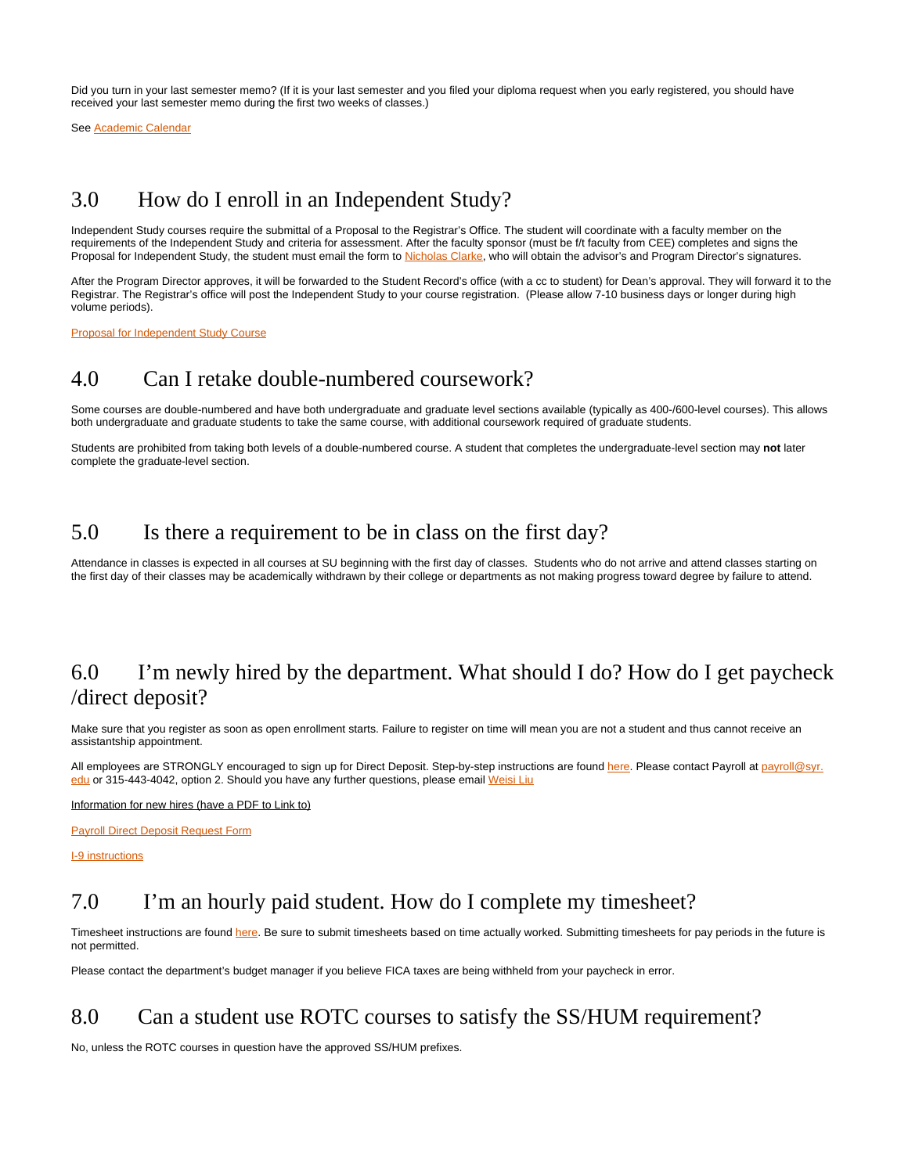Did you turn in your last semester memo? (If it is your last semester and you filed your diploma request when you early registered, you should have received your last semester memo during the first two weeks of classes.)

See [Academic Calendar](https://www.syracuse.edu/academics/calendars/)

## 3.0 How do I enroll in an Independent Study?

Independent Study courses require the submittal of a Proposal to the Registrar's Office. The student will coordinate with a faculty member on the requirements of the Independent Study and criteria for assessment. After the faculty sponsor (must be f/t faculty from CEE) completes and signs the Proposal for Independent Study, the student must email the form to [Nicholas Clarke,](mailto:niclarke@syr.edu) who will obtain the advisor's and Program Director's signatures.

After the Program Director approves, it will be forwarded to the Student Record's office (with a cc to student) for Dean's approval. They will forward it to the Registrar. The Registrar's office will post the Independent Study to your course registration. (Please allow 7-10 business days or longer during high volume periods).

[Proposal for Independent Study Course](https://syr.edu/registrar/forms/Proposal_for_Independent_Study_Course.pdf)

#### 4.0 Can I retake double-numbered coursework?

Some courses are double-numbered and have both undergraduate and graduate level sections available (typically as 400-/600-level courses). This allows both undergraduate and graduate students to take the same course, with additional coursework required of graduate students.

Students are prohibited from taking both levels of a double-numbered course. A student that completes the undergraduate-level section may **not** later complete the graduate-level section.

#### 5.0 Is there a requirement to be in class on the first day?

Attendance in classes is expected in all courses at SU beginning with the first day of classes. Students who do not arrive and attend classes starting on the first day of their classes may be academically withdrawn by their college or departments as not making progress toward degree by failure to attend.

## 6.0 I'm newly hired by the department. What should I do? How do I get paycheck /direct deposit?

Make sure that you register as soon as open enrollment starts. Failure to register on time will mean you are not a student and thus cannot receive an assistantship appointment.

All employees are STRONGLY encouraged to sign up for Direct Deposit. Step-by-step instructions are found [here.](https://bfas.syr.edu/comptroller/payroll/enroll-update-cancel-your-direct-deposit/) Please contact Payroll at [payroll@syr.](mailto:payroll@syr.edu) [edu](mailto:payroll@syr.edu) or 315-443-4042, option 2. Should you have any further questions, please email [Weisi Liu](mailto:wliu27@syr.edu)

Information for new hires (have a PDF to Link to)

[Payroll Direct Deposit Request Form](https://answers.syr.edu/download/attachments/152702121/Payroll-Direct-Deposit-Request-Form.pdf?version=1&modificationDate=1637249413000&api=v2)

[I-9 instructions](https://answers.syr.edu/download/attachments/152702121/I_9-instructions-Spring-2021.pdf?version=1&modificationDate=1637249326000&api=v2)

## 7.0 I'm an hourly paid student. How do I complete my timesheet?

Timesheet instructions are found [here.](https://answers.syr.edu/display/PSHCM/How-To+Guides) Be sure to submit timesheets based on time actually worked. Submitting timesheets for pay periods in the future is not permitted.

Please contact the department's budget manager if you believe FICA taxes are being withheld from your paycheck in error.

#### 8.0 Can a student use ROTC courses to satisfy the SS/HUM requirement?

No, unless the ROTC courses in question have the approved SS/HUM prefixes.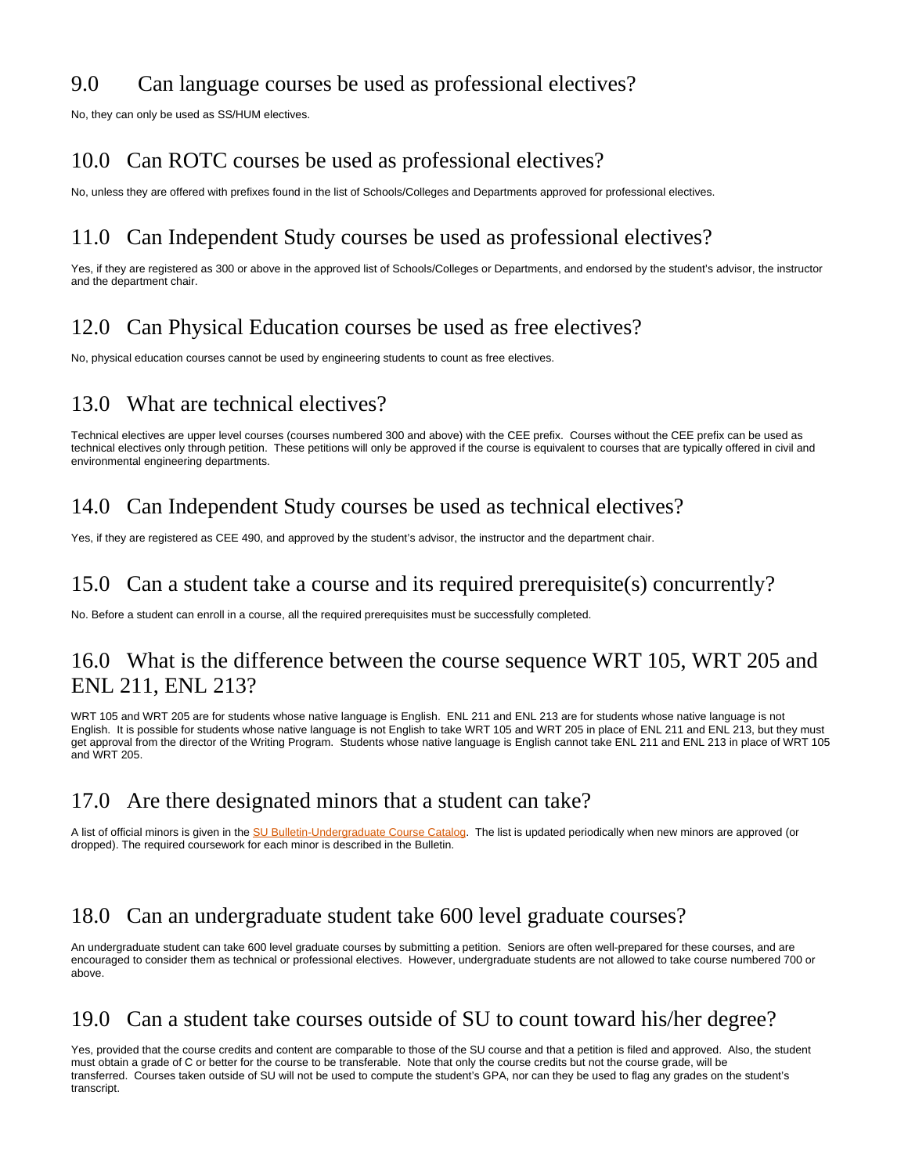## 9.0 Can language courses be used as professional electives?

No, they can only be used as SS/HUM electives.

## 10.0 Can ROTC courses be used as professional electives?

No, unless they are offered with prefixes found in the list of Schools/Colleges and Departments approved for professional electives.

## 11.0 Can Independent Study courses be used as professional electives?

Yes, if they are registered as 300 or above in the approved list of Schools/Colleges or Departments, and endorsed by the student's advisor, the instructor and the department chair.

## 12.0 Can Physical Education courses be used as free electives?

No, physical education courses cannot be used by engineering students to count as free electives.

## 13.0 What are technical electives?

Technical electives are upper level courses (courses numbered 300 and above) with the CEE prefix. Courses without the CEE prefix can be used as technical electives only through petition. These petitions will only be approved if the course is equivalent to courses that are typically offered in civil and environmental engineering departments.

#### 14.0 Can Independent Study courses be used as technical electives?

Yes, if they are registered as CEE 490, and approved by the student's advisor, the instructor and the department chair.

#### 15.0 Can a student take a course and its required prerequisite(s) concurrently?

No. Before a student can enroll in a course, all the required prerequisites must be successfully completed.

#### 16.0 What is the difference between the course sequence WRT 105, WRT 205 and ENL 211, ENL 213?

WRT 105 and WRT 205 are for students whose native language is English. ENL 211 and ENL 213 are for students whose native language is not English. It is possible for students whose native language is not English to take WRT 105 and WRT 205 in place of ENL 211 and ENL 213, but they must get approval from the director of the Writing Program. Students whose native language is English cannot take ENL 211 and ENL 213 in place of WRT 105 and WRT 205.

## 17.0 Are there designated minors that a student can take?

A list of official minors is given in the [SU Bulletin-Undergraduate Course Catalog](http://coursecatalog.syr.edu/). The list is updated periodically when new minors are approved (or dropped). The required coursework for each minor is described in the Bulletin.

## 18.0 Can an undergraduate student take 600 level graduate courses?

An undergraduate student can take 600 level graduate courses by submitting a petition. Seniors are often well-prepared for these courses, and are encouraged to consider them as technical or professional electives. However, undergraduate students are not allowed to take course numbered 700 or above.

## 19.0 Can a student take courses outside of SU to count toward his/her degree?

Yes, provided that the course credits and content are comparable to those of the SU course and that a petition is filed and approved. Also, the student must obtain a grade of C or better for the course to be transferable. Note that only the course credits but not the course grade, will be transferred. Courses taken outside of SU will not be used to compute the student's GPA, nor can they be used to flag any grades on the student's transcript.